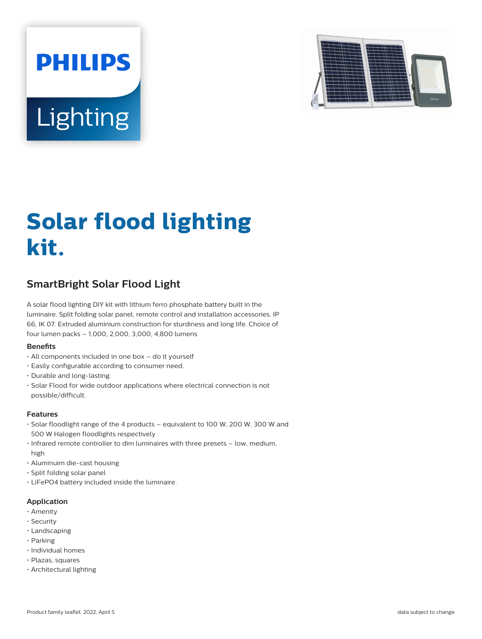



# **Solar flood lighting kit.**

## **SmartBright Solar Flood Light**

A solar flood lighting DIY kit with lithium ferro phosphate battery built in the luminaire. Split folding solar panel, remote control and installation accessories. IP 66, IK 07. Extruded aluminium construction for sturdiness and long life. Choice of four lumen packs – 1,000, 2,000, 3,000, 4,800 lumens

#### **Benets**

- All components included in one box do it yourself
- Easily configurable according to consumer need.
- Durable and long-lasting.
- Solar Flood for wide outdoor applications where electrical connection is not possible/difficult.

#### **Features**

- Solar floodlight range of the 4 products equivalent to 100 W, 200 W, 300 W and 500 W Halogen floodlights respectively
- Infrared remote controller to dim luminaires with three presets low, medium, high
- Aluminuim die-cast housing
- Split folding solar panel
- LiFePO4 battery included inside the luminaire.

#### **Application**

- Amenity
- Security
- Landscaping
- Parking
- Individual homes
- Plazas, squares
- Architectural lighting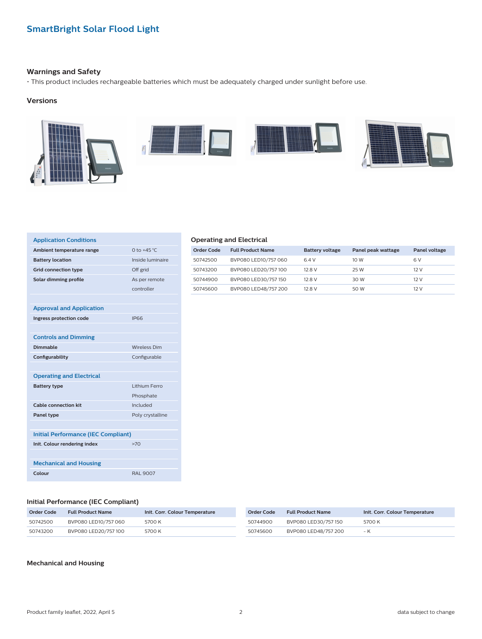#### **Warnings and Safety**

• This product includes rechargeable batteries which must be adequately charged under sunlight before use.

#### **Versions**



| <b>Application Conditions</b>              |                     |
|--------------------------------------------|---------------------|
| Ambient temperature range                  | 0 to $+45$ °C.      |
| <b>Battery location</b>                    | Inside luminaire    |
| <b>Grid connection type</b>                | Off grid            |
| Solar dimming profile                      | As per remote       |
|                                            | controller          |
|                                            |                     |
| <b>Approval and Application</b>            |                     |
| Ingress protection code                    | IP66                |
|                                            |                     |
| <b>Controls and Dimming</b>                |                     |
| <b>Dimmable</b>                            | <b>Wireless Dim</b> |
| Configurability                            | Configurable        |
|                                            |                     |
| <b>Operating and Electrical</b>            |                     |
| <b>Battery type</b>                        | Lithium Ferro       |
|                                            | Phosphate           |
| <b>Cable connection kit</b>                | Included            |
| Panel type                                 | Poly crystalline    |
|                                            |                     |
| <b>Initial Performance (IEC Compliant)</b> |                     |
| Init. Colour rendering index               | >70                 |
|                                            |                     |
| <b>Mechanical and Housing</b>              |                     |
| Colour                                     | <b>RAL 9007</b>     |

#### **Operating and Electrical**

| Order Code | <b>Full Product Name</b> | <b>Battery voltage</b> | Panel peak wattage | Panel voltage |
|------------|--------------------------|------------------------|--------------------|---------------|
| 50742500   | BVP080 LED10/757 060     | 6.4 V                  | 10 W               | 6 V           |
| 50743200   | BVP080 LED20/757 100     | 12.8 V                 | 25 W               | 12 V          |
| 50744900   | BVP080 LED30/757 150     | 12.8 V                 | 30 W               | 12 V          |
| 50745600   | BVP080 LED48/757 200     | 12.8 V                 | 50 W               | 12 V          |

#### **Initial Performance (IEC Compliant)**

| Order Code | <b>Full Product Name</b> | Init. Corr. Colour Temperature | Order Code | <b>Full Product Name</b> | Init. Corr. Colour Temperature |
|------------|--------------------------|--------------------------------|------------|--------------------------|--------------------------------|
| 50742500   | BVP080 LED10/757 060     | 5700 K                         | 50744900   | BVP080 LED30/757 150     | 5700 K                         |
| 50743200   | BVP080 LED20/757 100     | 5700 K                         | 50745600   | BVP080 LED48/757 200     | – K                            |

#### **Mechanical and Housing**